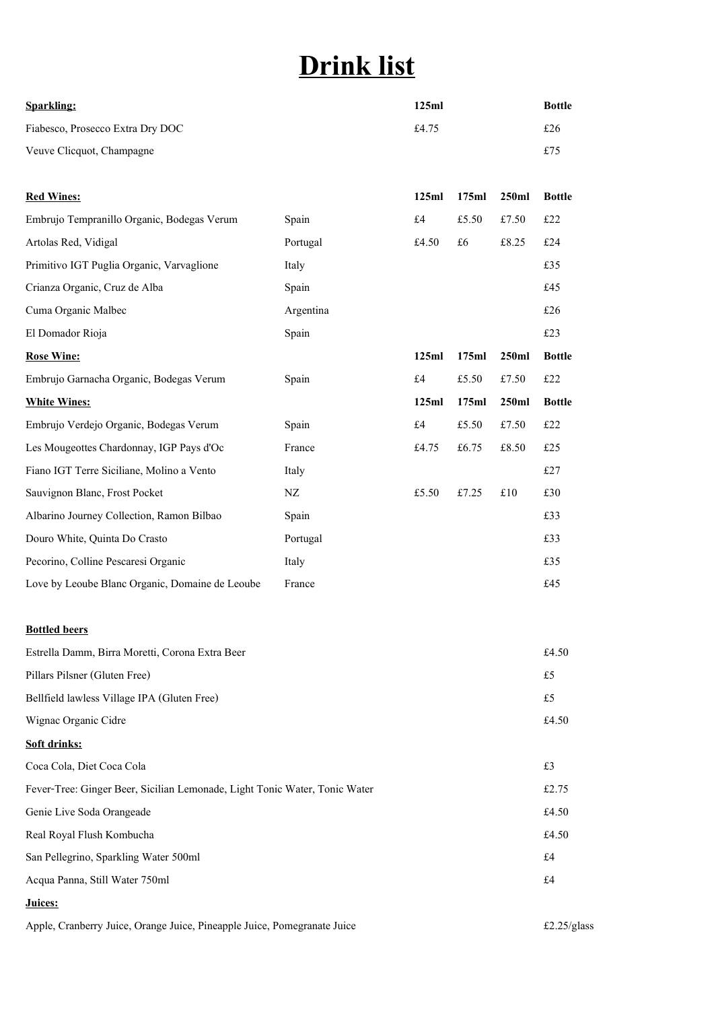## **Drink list**

| <b>Sparkling:</b>                | 125ml | Bottle |
|----------------------------------|-------|--------|
| Fiabesco, Prosecco Extra Dry DOC | £4.75 | £26    |
| Veuve Clicquot, Champagne        |       | £75    |

| <b>Red Wines:</b>                               |           | 125ml | 175ml | 250ml | <b>Bottle</b> |
|-------------------------------------------------|-----------|-------|-------|-------|---------------|
| Embrujo Tempranillo Organic, Bodegas Verum      | Spain     | £4    | £5.50 | £7.50 | £22           |
| Artolas Red, Vidigal                            | Portugal  | £4.50 | £6    | £8.25 | £24           |
| Primitivo IGT Puglia Organic, Varvaglione       | Italy     |       |       |       | £35           |
| Crianza Organic, Cruz de Alba                   | Spain     |       |       |       | £45           |
| Cuma Organic Malbec                             | Argentina |       |       |       | £26           |
| El Domador Rioja                                | Spain     |       |       |       | £23           |
| <b>Rose Wine:</b>                               |           | 125ml | 175ml | 250ml | <b>Bottle</b> |
| Embrujo Garnacha Organic, Bodegas Verum         | Spain     | £4    | £5.50 | £7.50 | £22           |
| <b>White Wines:</b>                             |           | 125ml | 175ml | 250ml | <b>Bottle</b> |
| Embrujo Verdejo Organic, Bodegas Verum          | Spain     | £4    | £5.50 | £7.50 | £22           |
| Les Mougeottes Chardonnay, IGP Pays d'Oc        | France    | £4.75 | £6.75 | £8.50 | £25           |
| Fiano IGT Terre Siciliane, Molino a Vento       | Italy     |       |       |       | £27           |
| Sauvignon Blanc, Frost Pocket                   | NZ        | £5.50 | £7.25 | £10   | £30           |
| Albarino Journey Collection, Ramon Bilbao       | Spain     |       |       |       | £33           |
| Douro White, Quinta Do Crasto                   | Portugal  |       |       |       | £33           |
| Pecorino, Colline Pescaresi Organic             | Italy     |       |       |       | £35           |
| Love by Leoube Blanc Organic, Domaine de Leoube | France    |       |       |       | £45           |
|                                                 |           |       |       |       |               |
| <b>Bottled beers</b>                            |           |       |       |       |               |

| Estrella Damm, Birra Moretti, Corona Extra Beer                            | £4.50 |
|----------------------------------------------------------------------------|-------|
| Pillars Pilsner (Gluten Free)                                              | £5    |
| Bellfield lawless Village IPA (Gluten Free)                                | £5    |
| Wignac Organic Cidre                                                       | £4.50 |
| Soft drinks:                                                               |       |
| Coca Cola, Diet Coca Cola                                                  | £3    |
| Fever-Tree: Ginger Beer, Sicilian Lemonade, Light Tonic Water, Tonic Water | £2.75 |
| Genie Live Soda Orangeade                                                  | £4.50 |
| Real Royal Flush Kombucha                                                  | £4.50 |
| San Pellegrino, Sparkling Water 500ml                                      | £4    |
| Acqua Panna, Still Water 750ml                                             | £4    |
| Juices:                                                                    |       |

Apple, Cranberry Juice, Orange Juice, Pineapple Juice, Pomegranate Juice  $\text{£}2.25/\text{glass}$